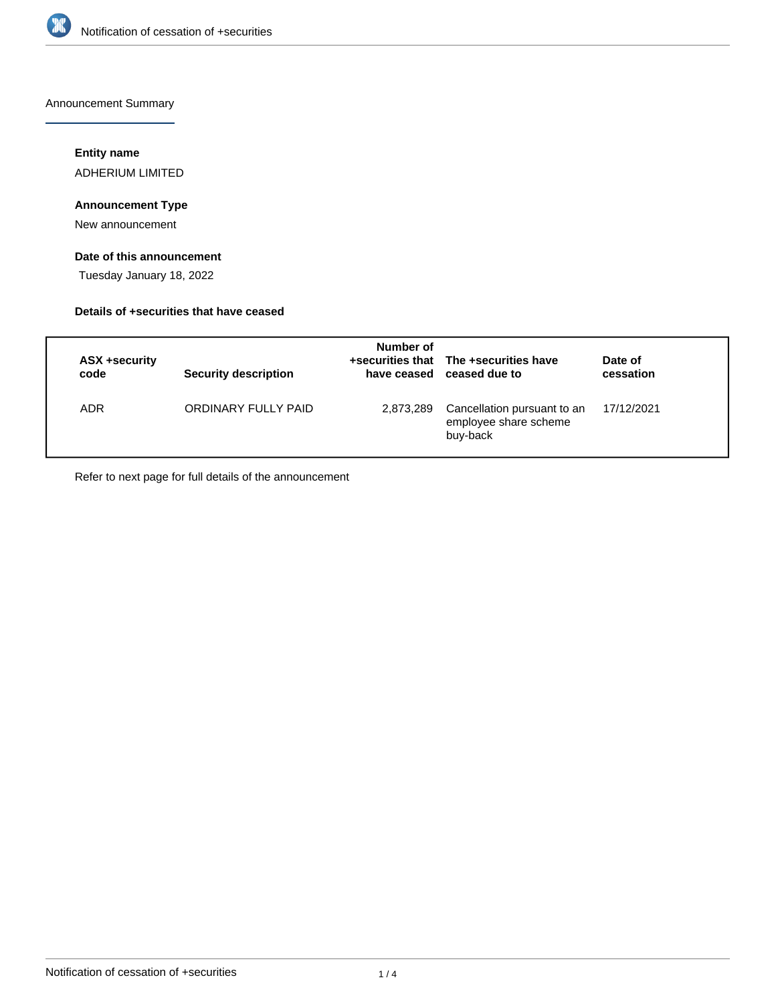

Announcement Summary

# **Entity name**

ADHERIUM LIMITED

# **Announcement Type**

New announcement

# **Date of this announcement**

Tuesday January 18, 2022

# **Details of +securities that have ceased**

| ASX +security<br>code | <b>Security description</b> | Number of | +securities that The +securities have<br>have ceased ceased due to | Date of<br>cessation |
|-----------------------|-----------------------------|-----------|--------------------------------------------------------------------|----------------------|
| ADR                   | ORDINARY FULLY PAID         | 2,873,289 | Cancellation pursuant to an<br>employee share scheme<br>buy-back   | 17/12/2021           |

Refer to next page for full details of the announcement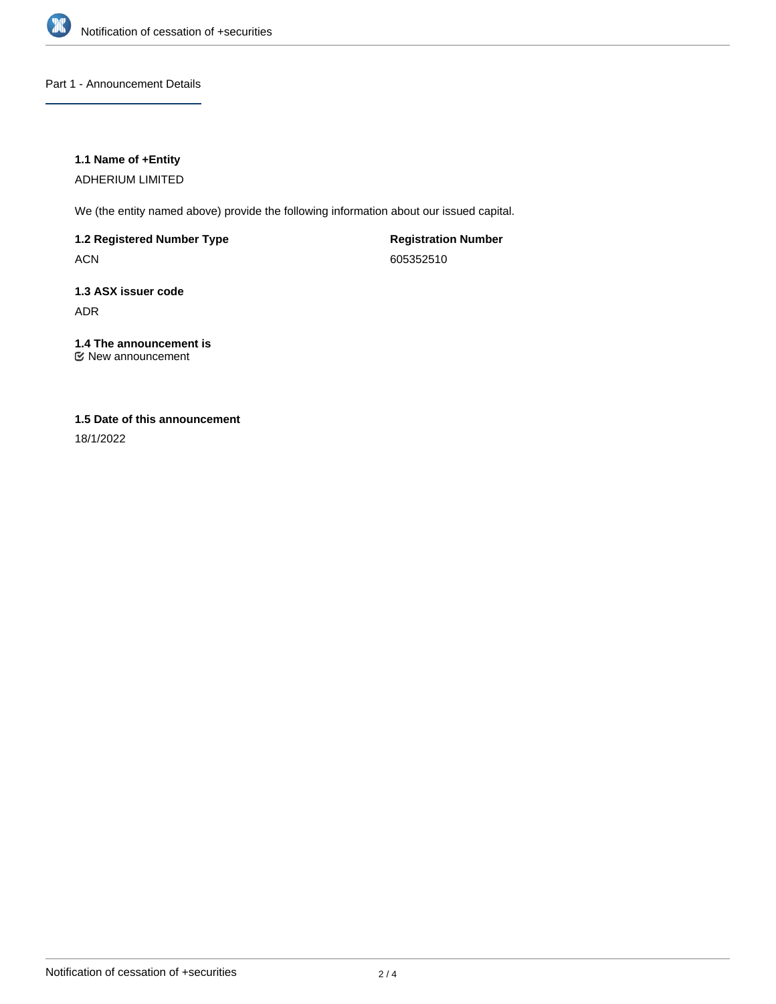

# Part 1 - Announcement Details

## **1.1 Name of +Entity**

ADHERIUM LIMITED

We (the entity named above) provide the following information about our issued capital.

**1.2 Registered Number Type**

ACN

**Registration Number** 605352510

# **1.3 ASX issuer code** ADR

# **1.4 The announcement is**

New announcement

# **1.5 Date of this announcement**

18/1/2022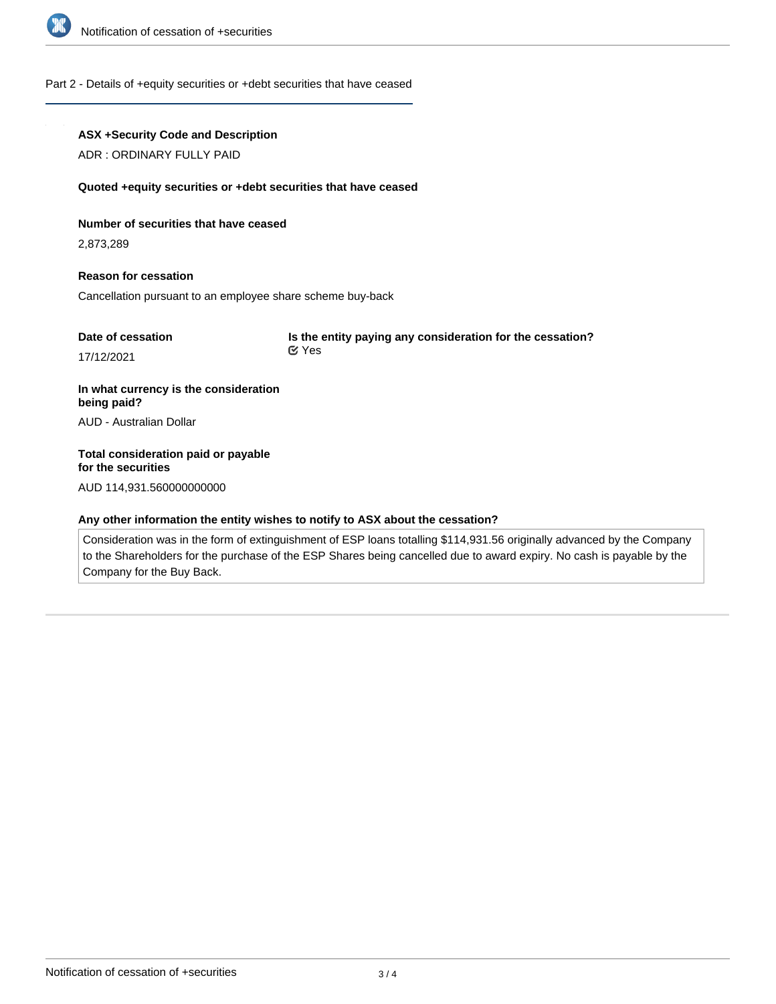

#### Part 2 - Details of +equity securities or +debt securities that have ceased

#### **ASX +Security Code and Description**

ADR : ORDINARY FULLY PAID

#### **Quoted +equity securities or +debt securities that have ceased**

#### **Number of securities that have ceased**

2,873,289

# **Reason for cessation**

Cancellation pursuant to an employee share scheme buy-back

| Date of cessation | Is the entity paying any consideration for the cessation? |  |
|-------------------|-----------------------------------------------------------|--|
| 17/12/2021        | <b>⊻</b> Yes                                              |  |

**In what currency is the consideration being paid?** AUD - Australian Dollar

# **Total consideration paid or payable for the securities**

AUD 114,931.560000000000

#### **Any other information the entity wishes to notify to ASX about the cessation?**

Consideration was in the form of extinguishment of ESP loans totalling \$114,931.56 originally advanced by the Company to the Shareholders for the purchase of the ESP Shares being cancelled due to award expiry. No cash is payable by the Company for the Buy Back.